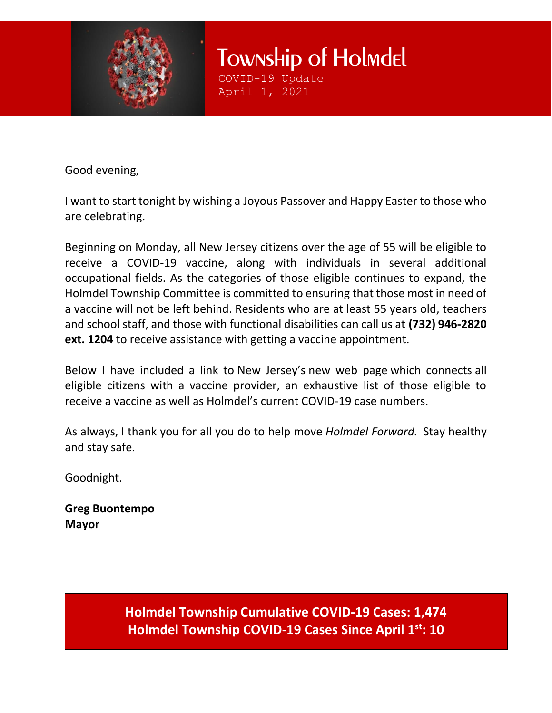

Township of Holmdel COVID-19 Update

April 1, 2021

Good evening,

I want to start tonight by wishing a Joyous Passover and Happy Easter to those who are celebrating.

Beginning on Monday, all New Jersey citizens over the age of 55 will be eligible to receive a COVID-19 vaccine, along with individuals in several additional occupational fields. As the categories of those eligible continues to expand, the Holmdel Township Committee is committed to ensuring that those most in need of a vaccine will not be left behind. Residents who are at least 55 years old, teachers and school staff, and those with functional disabilities can call us at **(732) 946-2820 ext. 1204** to receive assistance with getting a vaccine appointment.

Below I have included a link to New Jersey's new web page which connects all eligible citizens with a vaccine provider, an exhaustive list of those eligible to receive a vaccine as well as Holmdel's current COVID-19 case numbers.

As always, I thank you for all you do to help move *Holmdel Forward.*  Stay healthy and stay safe. 

Goodnight. 

**Greg Buontempo Mayor**

> **Holmdel Township Cumulative COVID-19 Cases: 1,474 Holmdel Township COVID-19 Cases Since April 1st: 10**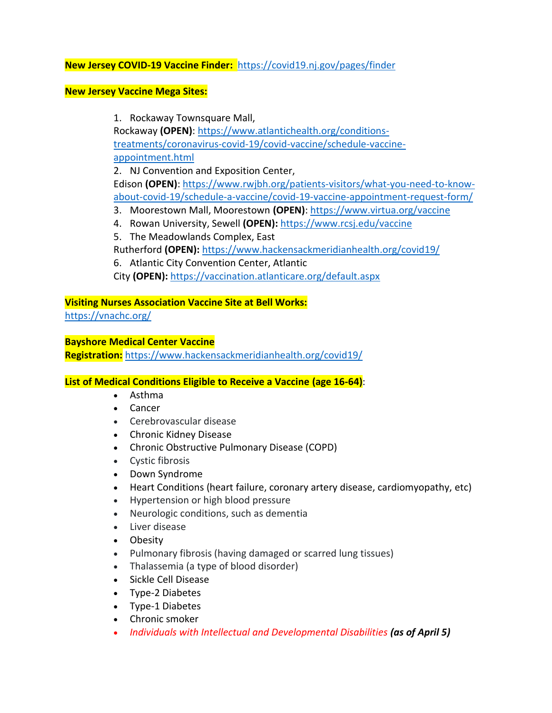# **New Jersey COVID-19 Vaccine Finder:** <https://covid19.nj.gov/pages/finder>

#### **New Jersey Vaccine Mega Sites:**

1. Rockaway Townsquare Mall,

Rockaway **(OPEN)**: [https://www.atlantichealth.org/conditions](https://www.atlantichealth.org/conditions-treatments/coronavirus-covid-19/covid-vaccine/schedule-vaccine-appointment.html)[treatments/coronavirus-covid-19/covid-vaccine/schedule-vaccine](https://www.atlantichealth.org/conditions-treatments/coronavirus-covid-19/covid-vaccine/schedule-vaccine-appointment.html)[appointment.html](https://www.atlantichealth.org/conditions-treatments/coronavirus-covid-19/covid-vaccine/schedule-vaccine-appointment.html)

2. NJ Convention and Exposition Center,

Edison **(OPEN)**: [https://www.rwjbh.org/patients-visitors/what-you-need-to-know](https://www.rwjbh.org/patients-visitors/what-you-need-to-know-about-covid-19/schedule-a-vaccine/covid-19-vaccine-appointment-request-form/)[about-covid-19/schedule-a-vaccine/covid-19-vaccine-appointment-request-form/](https://www.rwjbh.org/patients-visitors/what-you-need-to-know-about-covid-19/schedule-a-vaccine/covid-19-vaccine-appointment-request-form/)

- 3. Moorestown Mall, Moorestown **(OPEN)**: <https://www.virtua.org/vaccine>
- 4. Rowan University, Sewell **(OPEN):** <https://www.rcsj.edu/vaccine>
- 5. The Meadowlands Complex, East
- Rutherford **(OPEN):** <https://www.hackensackmeridianhealth.org/covid19/>
- 6. Atlantic City Convention Center, Atlantic City **(OPEN):** <https://vaccination.atlanticare.org/default.aspx>

### **Visiting Nurses Association Vaccine Site at Bell Works:**

<https://vnachc.org/>

### **Bayshore Medical Center Vaccine**

**Registration:** <https://www.hackensackmeridianhealth.org/covid19/>

# **List of Medical Conditions Eligible to Receive a Vaccine (age 16-64)**:

- Asthma
- Cancer
- Cerebrovascular disease
- Chronic Kidney Disease
- Chronic Obstructive Pulmonary Disease (COPD)
- Cystic fibrosis
- Down Syndrome
- Heart Conditions (heart failure, coronary artery disease, cardiomyopathy, etc)
- Hypertension or high blood pressure
- Neurologic conditions, such as dementia
- Liver disease
- Obesity
- Pulmonary fibrosis (having damaged or scarred lung tissues)
- Thalassemia (a type of blood disorder)
- Sickle Cell Disease
- Type-2 Diabetes
- Type-1 Diabetes
- Chronic smoker
- *Individuals with Intellectual and Developmental Disabilities (as of April 5)*